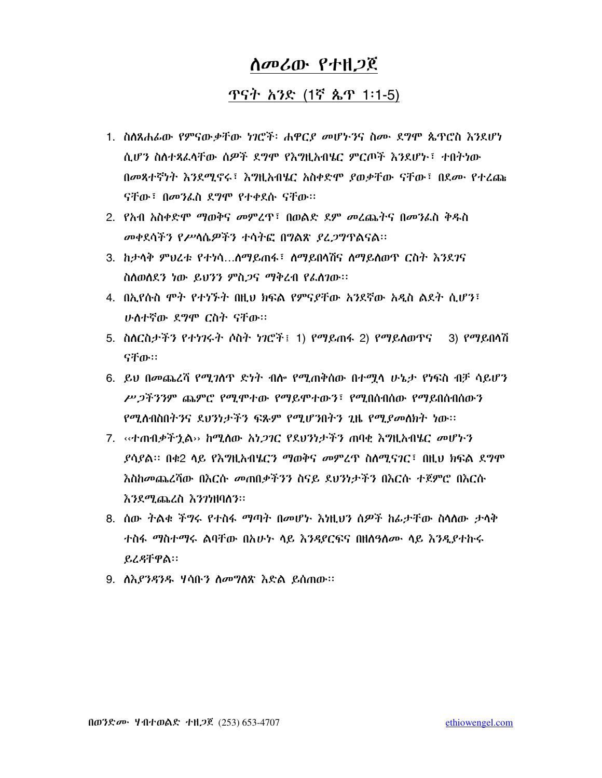# *ስመሪ*ው የተዘ*ጋ*ጀ

## ጥናት አንድ (1ኛ ጴጥ 1፡1-5)

- 1. ስስጸሐፊው የምናውቃቸው ነገሮች፡ ሐዋርያ መሆኑንና ስሙ ደግሞ ጴጥሮስ እንደሆነ ሲሆን ስለተጻፈላቸው ሰዎች ደግሞ የእግዚአብሄር ምርጦች እንደሆኑ፣ ተበትነው በመጻተኛነት እንደሚኖሩ፣ እግዚአብሄር አስቀድሞ ያወቃቸው ናቸው፣ በደሙ የተረጩ ናቸው፣ በመንፌስ ደግሞ የተቀደሱ ናቸው።
- 2. የአብ አስቀድሞ ማወቅና መምረጥ፣ በወልድ ደም መረጨትና በመንፈስ ቅዱስ መቀደሳችን የሥሳሴዎችን ተሳትፎ በግልጽ ያፈጋግጥልናል።
- 3. ከታሳቅ ምህረቱ የተነሳ...ስማይጠፋ፣ ስማይበሳሽና ስማይስወጥ ርስት እንደገና ስስወስደን ነው ይህንን ምስ*ጋ*ና ማቅረብ የፌስንው።
- 4. በኢየሱስ ሞት የተነኙት በዚህ ክፍል የምናያቸው አንደኛው አዲስ ልደት ሲሆን፣ ሁስተኛው ደግሞ ርስት ናቸው።
- 5. ስስርስታችን የተነገሩት ሶስት ነገሮች፤ 1) የማይጠፋ 2) የማይስወዋና 3) የማይበላሽ ናቸው።
- 6. ይህ በመጨረሻ የሚገስጥ ድነት ብስ የሚጠቅሰው በተሟሳ ሁኔታ የነፍስ ብቻ ሳይሆን ሥ*ጋችንን*ም ጨምሮ የሚሞተው የማይሞተውን፣ የሚበስብስው የማይበስብስውን *የሚስ*ብስበትንና ደህንነታችን ፍጹም የሚሆንበትን ጊዜ የሚ*ያመ*ለክት ነው።
- 7. ‹‹ተጠብቃችኋል›› ከሚለው *አነጋገ*ር የደህንነታችን ጠባቂ እግዚአብሄር *መ*ሆኑን *ያ*ሳያል። በቁ2 ላይ የእግዚአብሄርን ማወቅና *መ*ምረዋ ስለሚናገር፣ በዚህ ክፍል ደግሞ እስከመጨረሻው በእርሱ መጠበቃችንን ስናይ ደህንነታችን በእርሱ ተጀምሮ በእርሱ እንደሚጨረስ እንንነዘባለን፡፡
- 8. ሰው ትልቁ ችግሩ የተስፋ ማጣት በመሆኑ እነዚህን ሰዎች ከፊታቸው ስሳሰው ታሳቅ ተስፋ ማስተማሩ ልባቸው በአሁት ሳይ እንዳደርፍና በዘሰዓለሙ ሳይ እንዲያተኩሩ ይረዳቸዋል።
- 9. ስእ*ያንዳንዱ*  ሃሳቡ*ን ስመግ*ለጽ እድል ይሰጠው።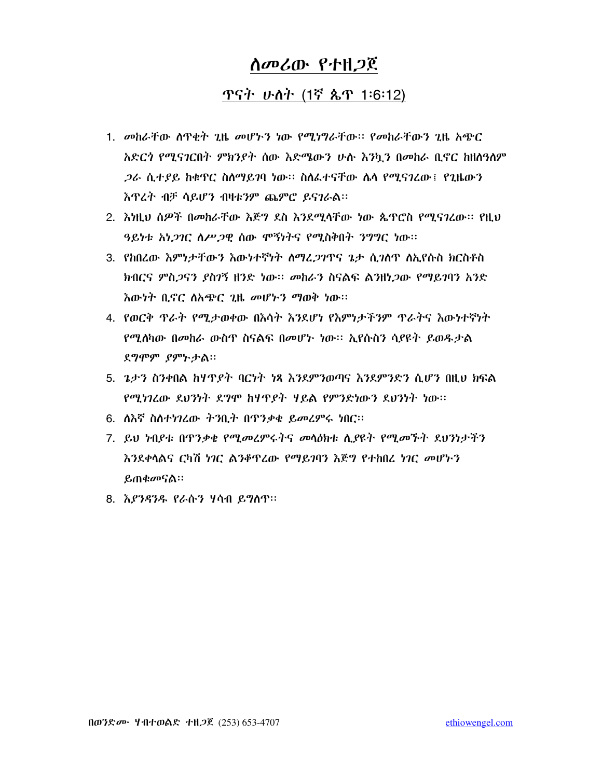### ጥናት ሁለት (1ኛ ጴጥ 1:6:12)

- 1. መከራቸው ሰዋቂት ጊዜ መሆኑን ነው የሚነግራቸው፡፡ የመከራቸውን ጊዜ አጭር አድርጎ የሚናገርበት ምክንያት ሰው እድሜውን ሁሉ እንኳን በመከራ ቢኖር ከዘስዓስም *ጋራ* ሲተያይ ከቁጥር ስስማይገባ ነው። ስስፌተናቸው ሴሳ የሚናገረው፤ የጊዜውን እጥረት ብቻ ሳይሆን ብዛቱንም ጨምሮ ይናገራል፡፡
- 2. እነዚህ ሰዎች በመከራቸው እጅግ ደስ እንደሚሳቸው ነው ጴጥሮስ የሚናገረው፡፡ የዚህ ዓይነቱ አነ*ጋገ*ር ስሥ*ጋ*ዊ ሰው ሞኝነትና የሚስቅበት ንግግር ነው።
- 3. የከበረው እምነታቸውን እውነተኛነት ለማረ*ጋገ*ዋና ኔታ ሲ*ገ*ለዋ ለኢየሱስ ክርስቶስ ክብርና ምስ*ጋ*ናን *ያ*ስንኝ ዘንድ ነው። *መ*ከራን ስናልፍ ልንዘነ*ጋ*ው የማይገባን አንድ እውነት ቢኖር ስአጭር ጊዜ መሆኑን ማወቅ ነው።
- 4. የወርቅ ጥራት የሚታወቀው በእሳት እንደሆነ የእምነታችንም ጥራትና እውነተኛነት የሚለካው በመከራ ውስዋ ስናልፍ በመሆኑ ነው። ኢየሱስን ሳያዩት ይወዱታል ደግሞም ያምኮታል።
- 5. ጌታን ስንቀበል ከሃዋያት ባርነት ነጻ እንደምንወጣና እንደምንድን ሲሆን በዚህ ክፍል የሚነገረው ደህንነት ደግሞ ከዛጥያት ዛይል የምንድነውን ደህንነት ነው።
- 6. ለእኛ ስለተነገረው ትንቢት በጥንቃቄ ይመረምሩ ነበር፡፡
- 7. ይህ ነብያቱ በጥንቃቂ የሚመረምሩትና መሳዕክቱ ሲያዩት የሚመኾት ደህንነታችን እንደቀሳልና ርካሽ ነገር ልንቆዋረው የማይገባን እጅግ የተከበረ ነገር መሆኑን ይጠቁመናል።
- 8. እያንዳንዱ የራሱን ሃሳብ ይግለጥ።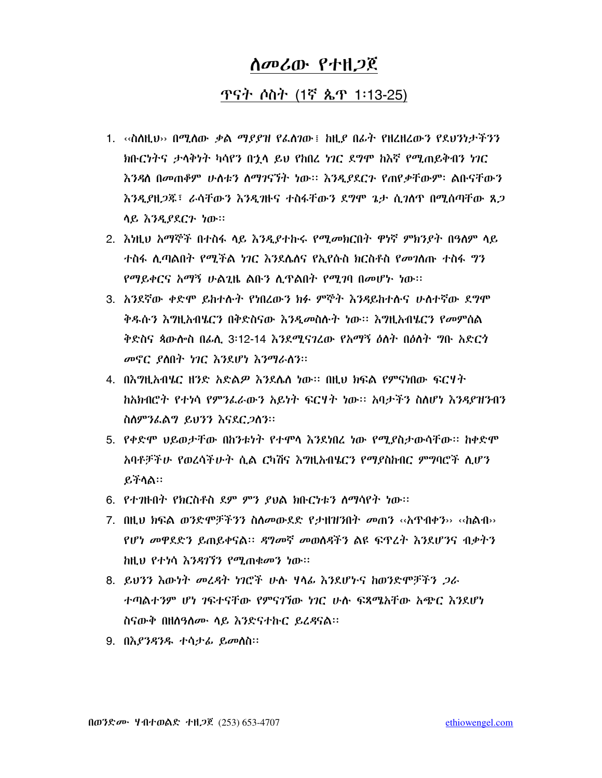### ጥናት ሶስት (1ኛ ጴጥ 1፡13-25)

- 1.  $\sim$ ስስዚህ›› በሚስው ቃል ማያያዝ የፌስገው ፤ ከዚያ በፊት የዘሬዘረውን የደህንነታችንን ክቡርነትና ታሳቅነት ካሳየን በጎላ ይህ የከበረ ነገር ደግሞ ከእኛ የሚጠይቅብን ነገር እንዳለ በመጠቆም ሁስቱን ስማገናኘት ነው። እንዲያደርጉ የጠየቃቸውም፡ ልቡናቸውን እንዲያዘ*ጋ*ጁ፣ ራሳቸውን እንዲባዙና ተስፋቸውን ደግሞ ጌታ ሲ*ገ*ለዋ በሚሰጣቸው ጸ*ጋ* ሳይ እንዲያደርጉ ነው።
- 2. እነዚህ አማኞች በተስፋ ላይ እንዲያተኩሩ የሚመክርበት ዋነኛ ምክንያት በዓለም ላይ ተስፋ ሲጣልበት የሚችል ነገር እንደሴለና የኢየሱስ ክርስቶስ የመገለጡ ተስፋ ግን የማይቀርና አማኝ ሁልጊዜ ልቡን ሲዋልበት የሚገባ በመሆኑ ነው።
- 3. አንደኛው ቀድሞ ይከተሱት የነበረውን ክፉ ምኞት እንዳይከተሱና ሁስተኛው ደግሞ ቅዱሱን እግዚአብሄርን በቅድስናው እንዲመስሱት ነው፡፡ እግዚአብሄርን የመምሰል ቅድስና ጳውሎስ በራሊ 3፡12-14 እንደሚናገረው የአማኝ ዕስት በዕስት ግቡ አድርጎ መኖር ያስበት ነገር እንደሆነ እንማራስን።
- 4. በእግዚአብሄር ዘንድ አድልዎ እንደሌለ ነው። በዚህ ክፍል የምናነበው ፍርሃት ከአክብሮት የተነሳ የምንፌራውን አይነት ፍርሃት ነው። አባታችን ስስሆነ እንዳያዝንብን ስስምንፌልግ ይህንን እናደር 2ስን።
- 5. የቀድሞ ህይወታቸው በከንቱነት የተሞላ እንደነበረ ነው የሚያስታውሳቸው። ከቀድሞ አባቶቻችሁ የወረሳችሁት ሲል ርካሽና እግዚአብሄርን የማያስከብር ምግባሮች ሲሆን ይችሳል።
- 6. የተገዙበት የክርስቶስ ደም ምን ያህል ክቡርነቱን ስማሳየት ነው።
- 7. በዚህ ክፍል ወንድሞቻችንን ስለመውደድ የታዘዝንበት መጠን ‹‹አዋብቀን›› ‹‹ከልብ›› የሆነ መዋደድን ይጠይቀናል። ዳግመኛ መወስዳችን ልዩ ፍጥረት እንደሆንና ብቃትን . ከዚህ የተነሳ እ*ንዳገኘን የሚ*ጠቁመን ነው።
- 8. ይህንን እውነት መረዳት ነገሮች ሁሉ ሃላፊ እንደሆኑና ከወንድሞቻችን *ጋ*ራ ተጣልተንም ሆነ ገፍተናቸው የምናገኘው ነገር ሁሉ ፍጻሜአቸው አጭር እንደሆነ ስናውቅ በዘለዓለሙ ላይ እንድናተኩር ይፈዳናል።
- 9. በእ*ያንዳንዱ* ተሳታ*ሌ ይመስ*ስ፡፡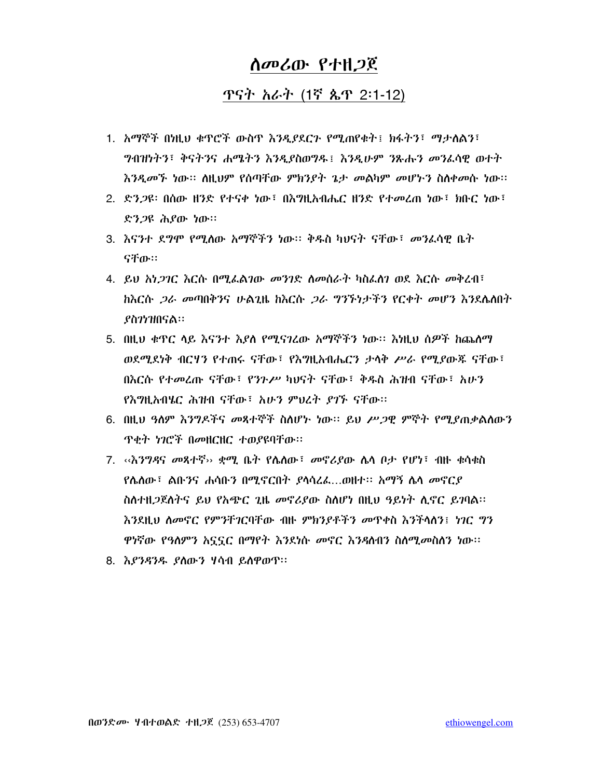#### ጥናት አራት (1ኛ ጴጥ 2:1-12)

- 1. አማኞች በነዚህ ቁጥሮች ውስጥ እንዲያደርጉ የሚጠየቁት፤ ክፋትን፣ ማታለልን፣ ግብዝነትን፣ ቅናትንና ሐሜትን እንዲያስወግዱ፤ እንዲሁም ንጹሑን መንፈሳዊ ወተት እንዲመኙ ነው። ስዚህም የሰጣቸው ምክንደት ጌታ መልካም መሆኑን ስስቀመሱ ነው።
- 2. ድን*ጋ*ዩ፡ በሰው ዘንድ የተናቀ ነው<sup>፣</sup> በእግዚአብሔር ዘንድ የተመረጠ ነው<sup>፣</sup> ክቡር ነው<sup>፣</sup> ድን*ጋ*ዩ ሕያው ነው።
- 3. እናንተ ደግሞ የሚሰው አማኞችን ነው፡፡ ቅዱስ ካህናት ናቸው፣ መንፈሳዊ ቤት ናቸው።
- 4. ይህ አነ*ጋገ*ር እርሱ በሚፌልገው *መንገ*ድ ስመሰራት ካስፌስን ወደ እርሱ መቅረብ፣ ክእርሱ *ጋራ መ*ጣበቅንና ሁልጊዜ ክእርሱ *ጋራ ግንኙነታችን የርቀት መሆን እን*ደሌለበት *ያስገነዝበናል።*
- 5. በዚህ ቁጥር ሳይ እናንተ እያለ የሚናገረው አማኞችን ነው። እነዚህ ሰዎች ከጨለማ ወደሚደነቅ ብርሃን የተጠሩ ናቸው፤ የእግዚአብሔርን ታሳቅ ሥራ የሚያውጁ ናቸው፤ በእርሱ የተመረጡ ናቸው፣ የንንሥ ካህናት ናቸው፣ ቅዱስ ሕዝብ ናቸው፣ አሁን የእግዚአብሄር ሕዝብ ናቸው፣ አሁን ምህረት ያገኙ ናቸው።
- 6. በዚህ ዓለም እንግዶችና መጻተኞች ስለሆኑ ነው። ይህ ሥ*ጋ*ዊ ምኞት የሚደጠቃልለውን **ጥቂት ነገሮች በመዘርዘር ተወያዩባቸው።**
- 7. ‹‹እንግዳና መጻተኛ›› ቋሚ ቤት የሌለው፣ መኖሪያው ሌላ ቦታ የሆነ፣ ብዙ ቁሳቁስ  $R$ ስሰው፣ ልቡንና ሐሳቡን በሚኖርበት ያሳሳረፊ....ወዘተ፡፡ አማኝ ሴሳ መኖርያ ስለተዘ*ጋ*ጀለትና ይህ የአጭር ጊዜ መኖሪያው ስለሆነ በዚህ ዓይነት ሊኖር ይገባል። እንደዚህ ስመኖር የምንቸገርባቸው ብዙ ምክንያቶችን መዋቀስ እንችላስን፤ ነገር ግን ዋነኛው የዓለምን አኗኗር በማየት እንደነሱ መኖር እንዳስብን ስለሚመስስን ነው።
- 8. እያንዳንዱ ያለውን ሃሳብ ይለዋወጥ።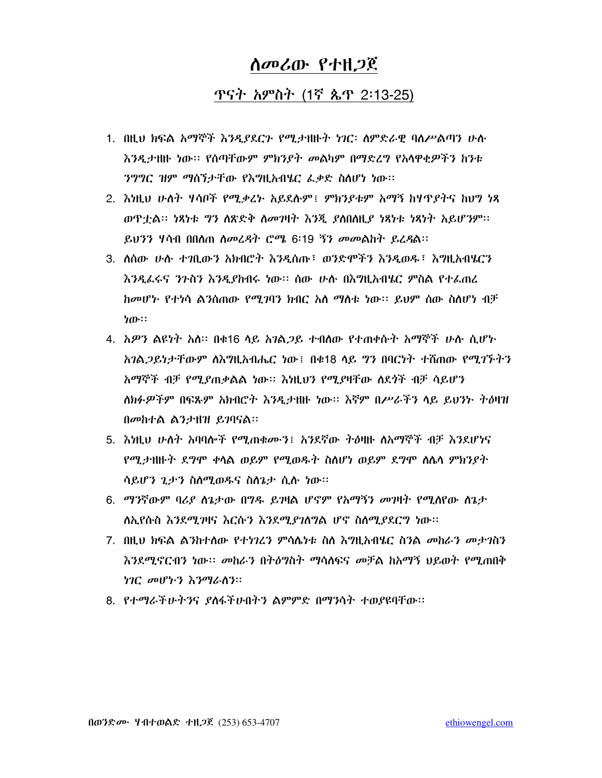### ጥናት አምስት (1ኛ ጴጥ 2፡13-25)

- 1. በዚህ ክፍል አማኞች እንዲያደርጉ የሚታዘዙት ነገር፡ ስምድራዊ ባስሥልጣን ሁስ እንዲታዘዙ ነው። የሰጣቸውም ምክንያት መልካም በማድረግ የአላዋቂዎችን ከንቱ ንግግር ዝም ማሰኘታቸው የእግዚአብሄር ፌቃድ ስለሆነ ነው።
- 2. እነዚህ ሁለት ሃሳቦች የሚቃረኑ አይደሉም፤ ምክንያቱም አማኝ ከሃጥያትና ከህግ ነጻ ወዋቷል። ነጻነቱ ግን ስጽድቅ ስመገዛት እንጂ ያስበስዚያ ነጻነቱ ነጻነት አይሆንም። ይህንን ሃሳብ በበሰጠ ስመረዳት ሮሜ 6፡19 ኝን መመልከት ይረዳል፡፡
- 3. ለሰው ሁሉ ተንቢውን አክብሮት እንዲሰጡ፣ ወንድሞችን እንዲወዱ፣ እግዚአብሄርን እንዲፌሩና ንጉስን እንዲያከብሩ ነው፡፡ ሰው ሁሉ በእግዚአብሄር ምስል የተፌጠረ ከመሆኑ የተነሳ ልንስጠው የሚገባን ክብር አለ ማስቱ ነው። ይህም ስው ስስሆነ ብቻ ነው።
- 4. አዎን ልዩነት አስ። በቁ16 ሳይ አንል*ጋ*ይ ተብለው የተጠቀሱት አማኞች ሁሉ ሲሆኑ አንል 2ይነታቸውም ለእግዚአብሔር ነው፤ በቁ18 ላይ ግን በባርነት ተሸጠው የሚገኙትን አማኞች ብቻ የሚደጠቃልል ነው። እነዚህን የሚደዛቸው ለደጎች ብቻ ሳይሆን ለክፉዎችም በፍጹም አክብሮት እንዲታዘዙ ነው። እኛም በሥራችን ላይ ይህንኑ ትዕዛዝ በመከተል ልንታዘዝ ይገባናል።
- 5. እነዚህ ሁለት አባባሎች የሚጠቁሙን፤ አንደኛው ትዕዛዙ ለአማኞች ብቻ እንደሆነና የሚታዘዙት ደግሞ ቀሳል ወይም የሚወዱት ስስሆነ ወይም ደግሞ ስሴሳ ምክንያት ሳይሆን ጊታን ስለሚወዱና ስለጌታ ሲሉ ነው።
- 6. *ማን*ኛውም ባሪያ ስጌታው በግዱ ይገዛል ሆኖም የአማኝን መገዛት የሚሰየው ስጌታ ለኢየሱስ እንደሚገዛና እርሱን እንደሚያገለግል ሆኖ ስለሚያደርግ ነው።
- 7. በዚህ ክፍል ልንከተለው የተነገረን ምሳሌነቱ ስለ እግዚአብሄር ስንል መከራን መታገስን እንደሚኖርብን ነው። መከራን በትዕግስት ማሳሰፍና መቻል ከአማኝ ህይወት የሚጠበቅ ነገር መሆኑን እንማራስን።
- 8. የተማራችሁትንና ያስፋችሁበትን ልምምድ በማንሳት ተወያዩባቸው።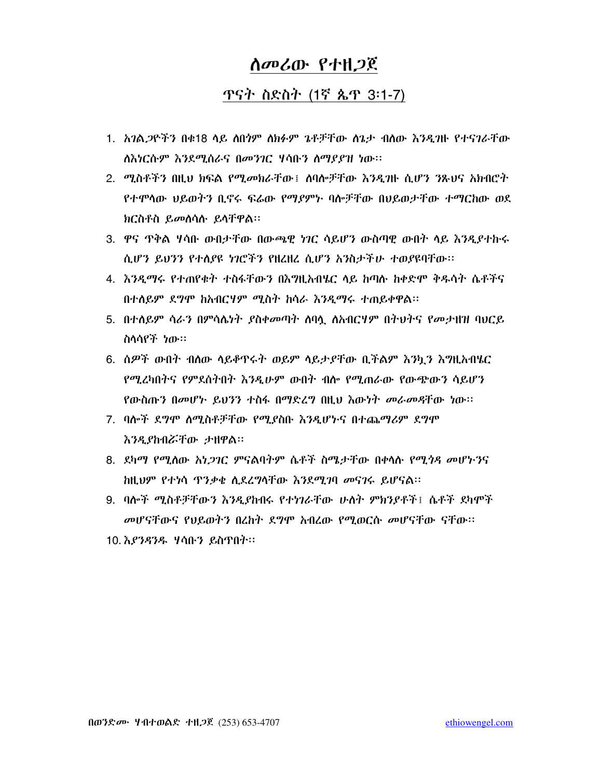# **ጥናት ስድስት (1ኛ ጴጥ 3:1-7)**

- 1. አንል*ጋ*ዮችን በቁ18 ላይ ለበ*ጎም* ለክፉም ጌቶቻቸው ለጌታ ብለው እንዲባዙ የተና*ገ*ራቸው ለእነርሱም እንደሚሰራና በመንገር ሃሳቡን ስማያያዝ ነው።
- 2. ሚስቶችን በዚህ ክፍል የሚመክራቸው፤ ሰባሎቻቸው እንዲባዙ ሲሆን ንጹህና አክብሮት የተሞሳው ህይወትን ቢኖሩ ፍሬው የማያምኑ ባሎቻቸው በህይወታቸው ተማርከው ወደ ክርስቶስ ይመሰሳሱ ይሳቸዋል።
- 3. ዋና ዋቅል ሃሳቡ ውበታቸው በውጫዊ ነገር ሳይሆን ውስጣዊ ውበት ላይ እንዲያተኩሩ ሲሆን ይህንን የተለያዩ ነገሮችን የዘረዘረ ሲሆን አንስታችሁ ተወያዩባቸው።
- 4. እንዲማሩ የተጠየቁት ተስፋቸውን በእግዚአብሄር ላይ ከጣሉ ከቀድሞ ቅዱሳት ሴቶችና በተለይም ደግሞ ከአብርሃም ሚስት ከሳራ እንዲማሩ ተጠይቀዋል፡፡
- 5. በተሰይም ሳራን በምሳሴነት ያስቀመጣት ስባሷ ስአብርሃም በትህትና የመታዘዝ ባህርይ ስሳሳየች ነው።
- 6. ሰዎች ውበት ብለው ሳይቆዋሩት ወይም ሳይታያቸው ቢችልም እንኳን እግዚአብሄር የሚረካበትና የምደስትበት እንዲሁም ውበት ብሎ የሚጠራው የውጭውን ሳይሆን የውስጡን በመሆኑ ይህንን ተስፋ በማድረግ በዚህ እውነት መራመዳቸው ነው።
- 7. ባሎች ደግሞ ስሚስቶቻቸው የሚያስቡ እንዲሆኑና በተጨማሪም ደግሞ እንዲያከብሯቸው ታዘዋል።
- 8. ደካማ የሚሰው አነ*ጋገ*ር ምናልባትም ሴቶች ስሜታቸው በቀላሱ የሚ*ጎዳ መ*ሆኑንና ከዚህም የተነሳ ጥንቃቄ ሲደረግሳቸው እንደሚገባ መናገሩ ይሆናል፡፡
- 9. ባሎች ሚስቶቻቸውን እንዲያከብሩ የተነገራቸው ሁለት ምክንያቶች፤ ሴቶች ደካሞች መሆናቸውና የህይወትን በረከት ደግሞ አብረው የሚወርሱ መሆናቸው ናቸው፡፡
- 10. እ*ያንዳንዱ ነ*ሳቡን ይስዋበት።
- 
- 
- 

በወንድሙ ሃብተወልድ ተዘጋጀ (253) 653-4707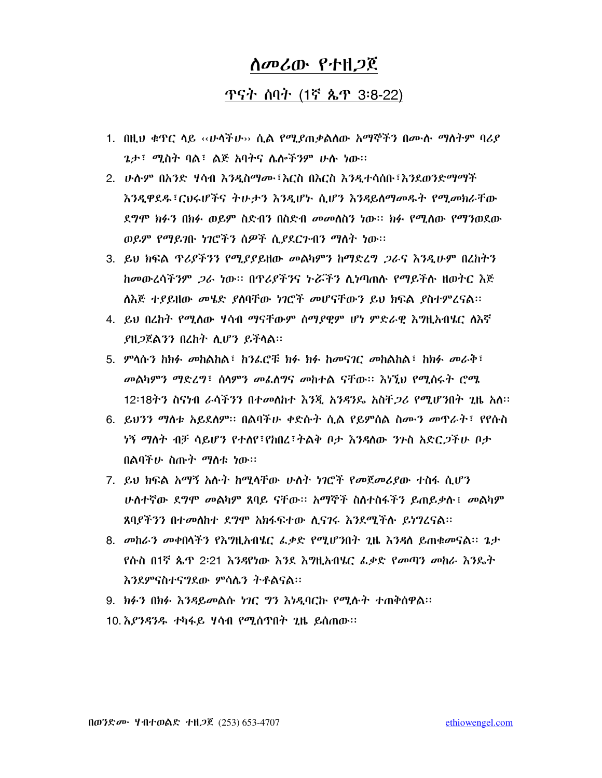### ጥናት ሰባት (1ኛ ጴጥ 3:8-22)

- 1. በዚህ ቁዋር ላይ ‹‹ሁላችሁ›› ሲል የሚያጠቃልለው አማኞችን በሙሉ ማስትም ባሪያ *ጌታ*፣ *ሚ*ስት ባል፣ ልጅ አባትና ሌሎችንም ሁሉ ነው።
- 2. ሁሉም በአንድ ሃሳብ እንዲስማሙ፣እርስ በእርስ እንዲተሳሰቡ፣እንደወንድማማች እንዲዋደዱ፣ርህሩሆችና ትሁታን እንዲሆኑ ሲሆን እንዳይለማመዱት የሚመክራቸው ደግሞ ክፉን በክፉ ወይም ስድብን በስድብ መመስስን ነው። ክፉ የሚሰው የማንወደው ወይም የማይገቡ ነገሮችን ሰዎች ሲያደርጉብን ማስት ነው።
- 3. ይህ ክፍል ጥሪደችንን የሚደደይዘው መልካምን ከማድረግ *ጋ*ራና እንዲሁም በረከትን ከመውረሳችንም *ጋራ* ነው። በዋሪያችንና ትሯችን ሊነጣጠሉ የማይችሉ ዘወትር እጅ ለእጅ ተያይዘው መሄድ ያለባቸው ነገሮች መሆናቸውን ይህ ክፍል ያስተምረናል።
- 4. ይህ በረከት የሚለው ሃሳብ ማናቸውም ሰማደዊም ሆነ ምድራዊ እግዚአብሄር ለእኛ ያዘ*ጋ*ጀልንን በረከት ሊሆን ይችላል።
- 5. ምሳሱን ከክፉ መከልከል፤ ከንፌሮቹ ክፉ ክፉ ከመናገር መከልከል፤ ከክፉ መራቅ፤ መልካምን ማድረግ፣ ሰሳምን መፈሰግና መከተል ናቸው። እንኚህ የሚሰሩት ሮሜ 12፡18ትን ስናነብ ራሳችንን በተመሰከተ እንጂ አንዳንዴ አስቸ*ጋሪ የሚሆን*በት ጊዜ አስ፡፡
- 6. ይህንን ማስቱ አይደለም። በልባችሁ ቀድሱት ሲል የይምሰል ስሙን መዋራት፣ የየሱስ *ነኝ ማለት ብቻ* ሳይሆን የተለየ፣የክበረ፣ትልቅ ቦታ እንዳለው *ን*ጉስ አድር*ጋች*ሁ ቦታ በልባችሁ ስጡት ማስቱ ነው።
- 7. ይህ ክፍል አማኝ አሉት ከሚላቸው ሁለት ነገሮች የመጀመሪያው ተስፋ ሲሆን <u>ሁለተኛው ደግሞ መልካም ጸባይ ናቸው። አማኞች ስለተስፋችን ይጠይቃሉ፤ መልካም</u> ጸባያችንን በተመለከተ ደግሞ አክፋፍተው ሲናገሩ እንደሚችሉ ይነግረናል።
- 8. መከራን መቀበሳችን የእግዚአብሄር ፌቃድ የሚሆንበት ጊዜ እንዳለ ይጠቁመናል፡፡ ጌታ <u>የሱስ በ1ኛ ጴጥ 2፡21 እንዳየነው እንደ እግዚአብሄር ፌቃድ የመጣን መከራ እንዴት</u> እንደምናስተናግደው ምሳሌን ትቶልናል።
- 9. ክፉን በክፉ እንዳይመልሱ ነገር ግን እነዲባርኩ የሚሱት ተጠቅሰዋል፡፡
- 10. እ*ያንዳንዱ* ተካፋይ ሃሳብ የሚሰጥበት ጊዜ ይሰጠው።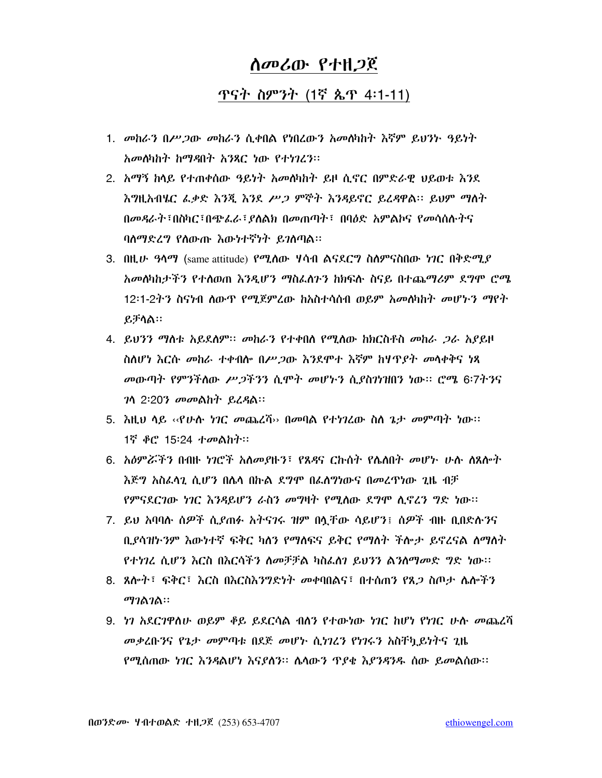## *ስመሪ*ው የተዘ*ጋ*ጀ

### ጥናት ስምንት (1ኛ ጴጥ 4:1-11)

- 1. መከራን በሥጋው መከራን ሲቀበል የነበረውን አመለካከት እኛም ይህንት ዓይነት አመለካከት ከማዳበት አንጻር ነው የተነገረን፡፡
- 2. አማኝ ከላይ የተጠቀሰው ዓይነት አመለካከት ይዞ ሲኖር በምድራዊ ህይወቱ እንደ እግዚአብሄር ፌቃድ እንጂ እንደ ሥ*ጋ* ምኞት እንዳይኖር ይፈዳዋል። ይህም ማለት በመዳራት ፣በስካር ፣በጭፌራ ፣ ደስልክ በመጠጣት ፣ በባዕድ አምልኮና የመሳሰሱትና ባለማድረግ የሰውጡ እውነተኛነት ይገለጣል።
- 3.  $0.01$ ዚሁ *ዓላማ* (same attitude) የሚሰው ሃሳብ ልናደርግ ስስምናስበው ነገር በቅድሚያ አመለካከታችን የተለወጠ እንዲሆን ማስፌስጉን ከክፍሉ ስናይ በተጨማሪም ደግሞ ሮሜ 12፡1-2ት3 ስናነብ ለውጥ የማጀምረው ከአስተሳሰብ ወይም አመለካከት መሆኑ3 ማየት ይቻሳል።
- 4. ይህንን ማስቱ አይደለም። መከራን የተቀበሰ የሚሰው ከክርስቶስ መከራ *ጋ*ራ አያይዞ ስለሆነ እርሱ መከራ ተቀብሎ በሥጋው እንደሞተ እኛም ከሃዋያት መሳቀቅና ነጻ መውጣት የምንችለው ሥጋችንን ሲሞት መሆኑን ሲያስንነዝበን ነው። ሮሜ 6፡7ትንና 7ሳ 2:207 መመልከት ይፈዳል፡፡
- 5. እዚህ ሳይ ‹‹የሁሉ *ነገር መ*ጨረሻ›› በመባል የተነገረው ስስ ጌታ *መ*ምጣት ነው፡፡ 1ኛ ቆሮ 15፡24 ተመልከት።
- 6. አዕምሯችን በብዙ ነገሮች አስመያዙን፣ የጸዳና ርኩስት የሌለበት መሆኑ ሁሉ ስጸሎት እጅግ አስፌሳጊ ሲሆን በሴሳ በኩል ደግሞ በፌስግነውና በመረጥነው ጊዜ ብቻ የምናደርገው ነገር እንዳይሆን ራስን መግዛት የሚለው ደግሞ ሲኖረን ግድ ነው።
- 7. ይህ አባባሉ ሰዎች ሲያጠፉ አትናንሩ ዝም በሏቸው ሳይሆን፤ ሰዎች ብዙ ቢበድሉንና ቢያሳዝኮንም እውነተኛ ፍቅር ካለን የማለፍና ይቅር የማለት ችሎታ ይኖረናል ለማለት የተነገረ ሲሆን እርስ በእርሳችን ስመቻቻል ካስፌስን ይህንን ልንስማመድ ግድ ነው።
- 8. ጸሎት፣ ፍቅር፣ እርስ በእርስእንግድነት መቀባበልና፣ በተሰጠን የጸ*ጋ* ስጦታ ሌሎችን ማገልገል።
- 9. ነን አደርንዋስሁ ወይም ቆይ ይደርሳል ብለን የተውነው ነገር ከሆነ የነገር ሁስ መጨረሻ መቃረቡንና የጌታ መምጣቱ በደጅ መሆኑ ሲነገረን የነገሩን አስቸካይነትና ጊዜ የሚሰጠው ነገር እንዳልሆነ እናያለን። ሌላውን ጥያቂ እያንዳንዱ ሰው ይመልስው።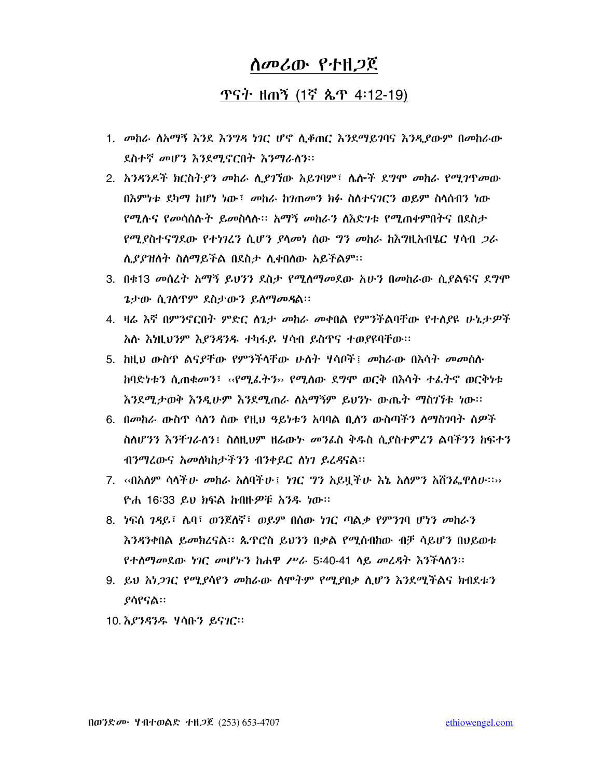## ጥናት ዘጠኝ (1ኛ ጴጥ 4:12-19)

- 1. መከራ ስአማኝ እንደ እንግዳ ነገር ሆኖ ሲቆጠር እንደማይገባና እንዲያውም በመከራው ደስተኛ መሆን እንደሚኖርበት እንማራስን።
- 2. አንዳንዶች ክርስትያን መከራ ሲያገኘው አይገባም፣ ሴሎች ደግሞ መከራ የሚገዋመው በእምነቱ ደካማ ከሆነ ነው፤ መከራ ከንጠመን ክፉ ስስተናንርን ወይም ስሳሰብን ነው የሚሉና የመሳሰሉት ይመስላሉ። አማኝ መከራን ስእድንቱ የሚጠቀምበትና በደስታ *የሚያስተናግ*ደው *የተነገረን ሲሆን ያላመነ ሰ*ው *ግን መከ*ራ ክእግዚአብሄር ሃሳብ *ጋራ* ሲያያዝለት ስለማይችል በደስታ ሲቀበለው አይችልም፡፡
- 3. በቁ13 መሰረት አማኝ ይህንን ደስታ የሚሰማመደው አሁን በመከራው ሲያልፍና ደግሞ ጌታው ሲገስጥም ደስታውን ይስማመዳል።
- 4. ዛሬ እኛ በምንኖርበት ምድር ስጌታ መከራ መቀበል የምንችልባቸው የተሰያዩ ሁኔታዎች አሉ እነዚህንም እያንዳንዱ ተካፋይ ሃሳብ ይስጥና ተወያዩባቸው፡፡
- 5. ከዚህ ውስጥ ልናያቸው የምንችሳቸው ሁለት ሃሳቦች፤ መከራው በእሳት መመሰሉ <u>ከባድነቱን ሲጠቁመን፤ ‹‹የሚፈትን›› የሚስው ደግሞ ወርቅ በእሳት ተፈትኖ ወርቅነቱ</u> እንደሚታወቅ እንዲሁም እንደሚጠራ ስአማኝም ይህንት ውጤት ማስገኘቱ ነው፡፡
- 6. በመከራ ውስጥ ሳለን ሰው የዚህ ዓይነቱን አባባል ቢለን ውስጣችን ለማስገባት ሰዎች ስለሆንን እንቸገራለን፤ ስለዚህም ዘሬውኑ መንፌስ ቅዱስ ሲደስተምረን ልባችንን ከፍተን ብንማሬውና አመለካከታችንን ብንቀይር ለነገ ይረዳናል፡፡
- 7. ‹‹በአለም ሳሳች*ሁ መ*ከራ አለባችሁ፤ *ነገ*ር *ግን አ*ይዟችሁ እኔ አለምን አሸንፌዋለሁ።›› ዮሐ 16፡33 ይህ ክፍል ከብዙዎቹ አንዱ ነው።
- 8. ነፍሰ 7ዳይ፣ ሴባ፣ ወንጀለኛ፣ ወይም በሰው ነገር ጣልቃ የምንገባ ሆነን መከራን እንዳንቀበል ይመክረናል። ጴጥሮስ ይህንን በቃል የሚሰብከው ብቻ ሳይሆን በህይወቱ <u>የተሰማመደው ነገር መሆኑን ከሐዋ ሥራ 5፡40-41 ሳይ መረዳት እንችሳሰን፡፡</u>
- 9. ይህ አነ*ጋገር የሚያ*ሳየን መከራው ስሞትም የሚያበቃ ሲሆን እንደሚችልና ክብደቱን *ያ*ሳየናል።
- 10. እ*ያንዳንዱ ነ*ሳቡን ይና*ገ*ር።